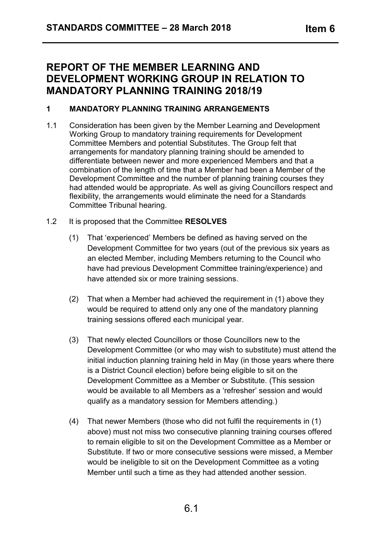## **REPORT OF THE MEMBER LEARNING AND DEVELOPMENT WORKING GROUP IN RELATION TO MANDATORY PLANNING TRAINING 2018/19**

## **1 MANDATORY PLANNING TRAINING ARRANGEMENTS**

- 1.1 Consideration has been given by the Member Learning and Development Working Group to mandatory training requirements for Development Committee Members and potential Substitutes. The Group felt that arrangements for mandatory planning training should be amended to differentiate between newer and more experienced Members and that a combination of the length of time that a Member had been a Member of the Development Committee and the number of planning training courses they had attended would be appropriate. As well as giving Councillors respect and flexibility, the arrangements would eliminate the need for a Standards Committee Tribunal hearing.
- 1.2 It is proposed that the Committee **RESOLVES**
	- (1) That 'experienced' Members be defined as having served on the Development Committee for two years (out of the previous six years as an elected Member, including Members returning to the Council who have had previous Development Committee training/experience) and have attended six or more training sessions.
	- (2) That when a Member had achieved the requirement in (1) above they would be required to attend only any one of the mandatory planning training sessions offered each municipal year.
	- (3) That newly elected Councillors or those Councillors new to the Development Committee (or who may wish to substitute) must attend the initial induction planning training held in May (in those years where there is a District Council election) before being eligible to sit on the Development Committee as a Member or Substitute. (This session would be available to all Members as a 'refresher' session and would qualify as a mandatory session for Members attending.)
	- (4) That newer Members (those who did not fulfil the requirements in (1) above) must not miss two consecutive planning training courses offered to remain eligible to sit on the Development Committee as a Member or Substitute. If two or more consecutive sessions were missed, a Member would be ineligible to sit on the Development Committee as a voting Member until such a time as they had attended another session.